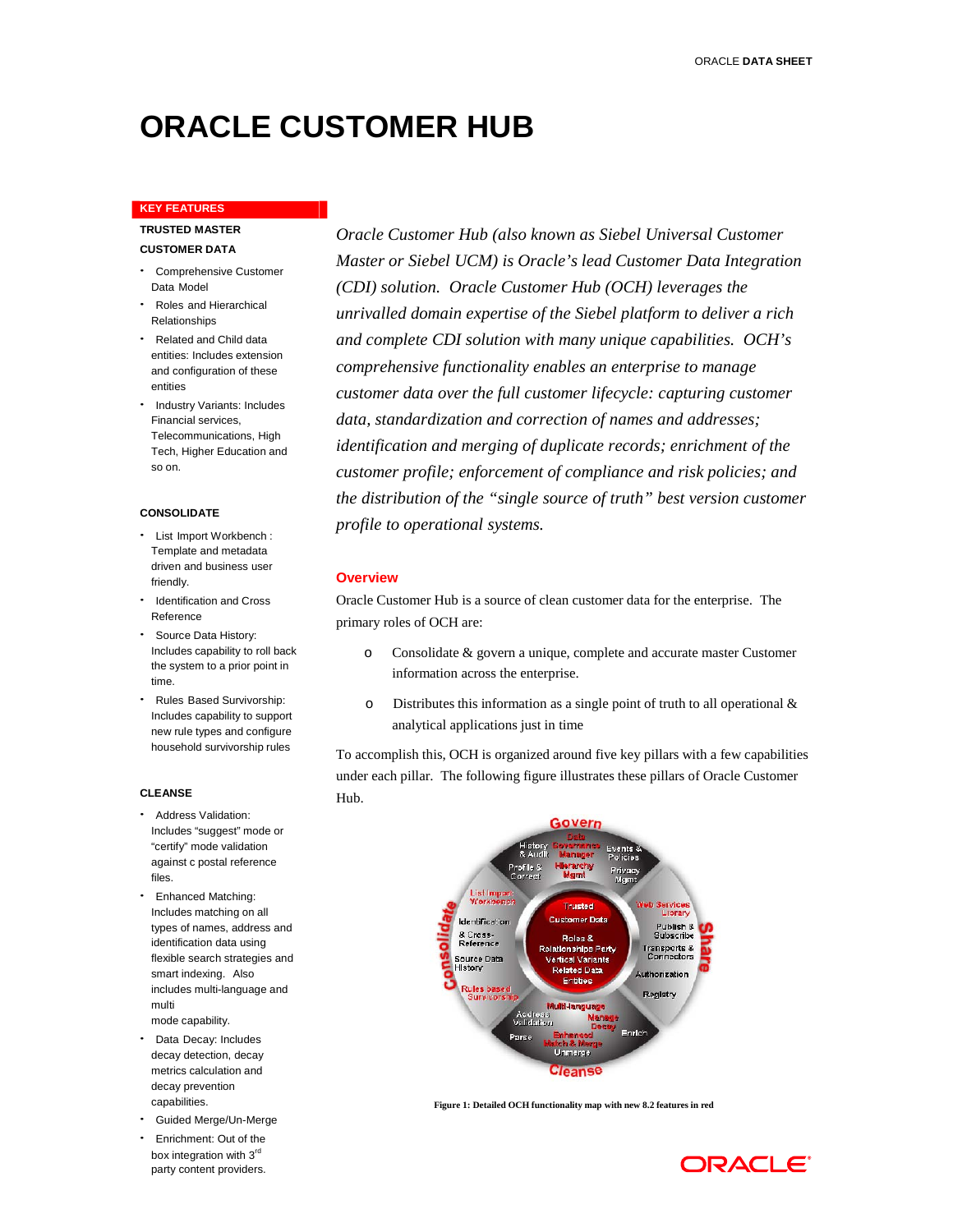# **ORACLE CUSTOMER HUB**

# **KEY FEATURES**

# **TRUSTED MASTER CUSTOMER DATA**

- Comprehensive Customer Data Model
- Roles and Hierarchical Relationships
- Related and Child data entities: Includes extension and configuration of these entities
- Industry Variants: Includes Financial services, Telecommunications, High Tech, Higher Education and so on.

#### **CONSOLIDATE**

- List Import Workbench : Template and metadata driven and business user friendly.
- Identification and Cross Reference
- Source Data History: Includes capability to roll back the system to a prior point in time.
- Rules Based Survivorship: Includes capability to support new rule types and configure household survivorship rules

#### **CLEANSE**

- Address Validation: Includes "suggest" mode or "certify" mode validation against c postal reference files.
- Enhanced Matching: Includes matching on all types of names, address and identification data using flexible search strategies and smart indexing. Also includes multi-language and multi mode capability.
- Data Decay: Includes decay detection, decay metrics calculation and decay prevention capabilities.
- Guided Merge/Un-Merge
- Enrichment: Out of the box integration with 3rd party content providers.

*Oracle Customer Hub (also known as Siebel Universal Customer Master or Siebel UCM) is Oracle's lead Customer Data Integration (CDI) solution. Oracle Customer Hub (OCH) leverages the unrivalled domain expertise of the Siebel platform to deliver a rich and complete CDI solution with many unique capabilities. OCH's comprehensive functionality enables an enterprise to manage customer data over the full customer lifecycle: capturing customer data, standardization and correction of names and addresses; identification and merging of duplicate records; enrichment of the customer profile; enforcement of compliance and risk policies; and the distribution of the "single source of truth" best version customer profile to operational systems.*

#### **Overview**

Oracle Customer Hub is a source of clean customer data for the enterprise. The primary roles of OCH are:

- o Consolidate & govern a unique, complete and accurate master Customer information across the enterprise.
- $\circ$  Distributes this information as a single point of truth to all operational & analytical applications just in time

To accomplish this, OCH is organized around five key pillars with a few capabilities under each pillar. The following figure illustrates these pillars of Oracle Customer Hub.



**Figure 1: Detailed OCH functionality map with new 8.2 features in red**

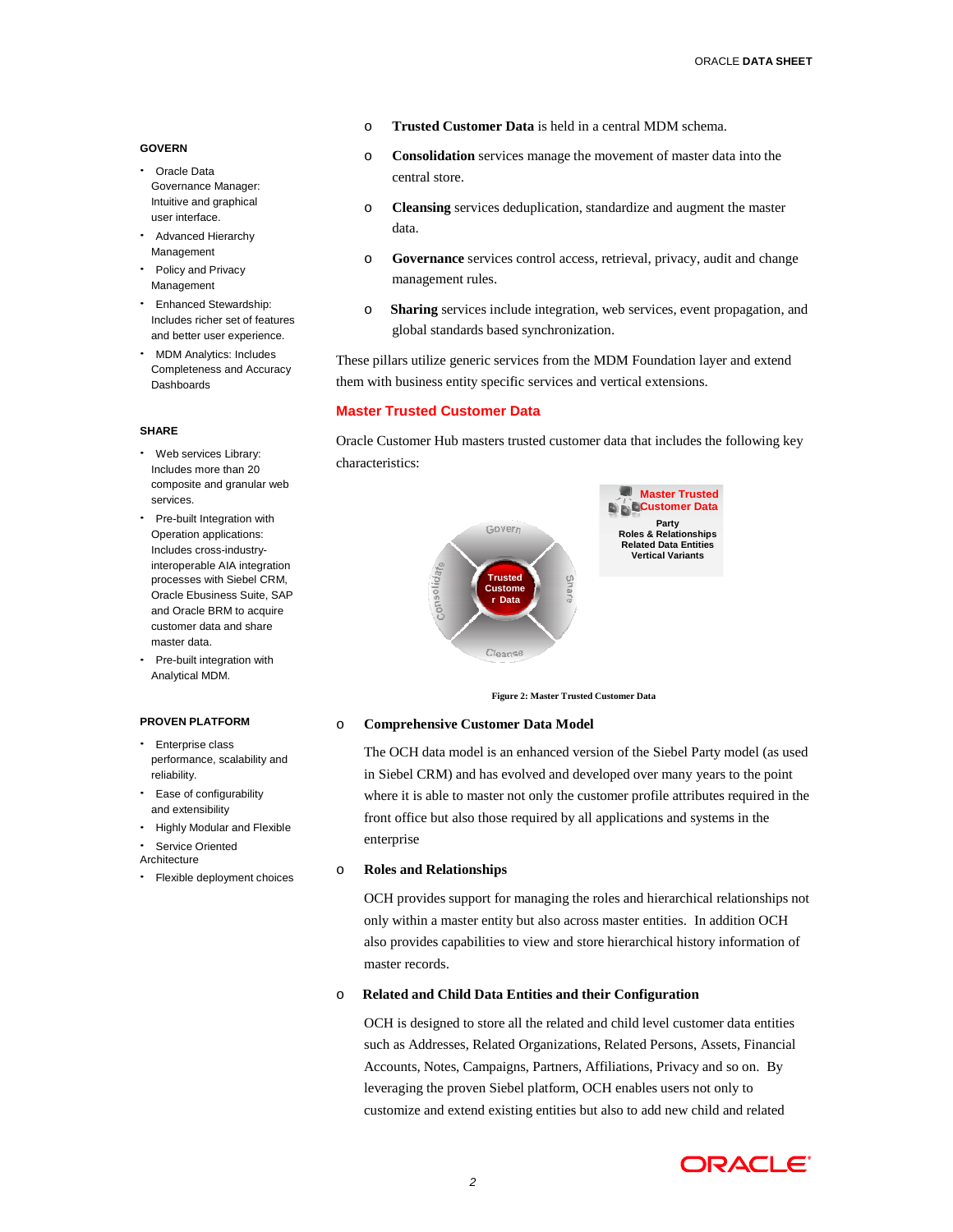#### **GOVERN**

- Oracle Data Governance Manager: Intuitive and graphical user interface.
- Advanced Hierarchy Management
- Policy and Privacy Management
- Enhanced Stewardship: Includes richer set of features and better user experience.
- MDM Analytics: Includes Completeness and Accuracy **Dashhoards**

#### **SHARE**

- Web services Library: Includes more than 20 composite and granular web services.
- Pre-built Integration with Operation applications: Includes cross-industryinteroperable AIA integration processes with Siebel CRM, Oracle Ebusiness Suite, SAP and Oracle BRM to acquire customer data and share master data.
- Pre-built integration with Analytical MDM.

#### **PROVEN PLATFORM**

- Enterprise class performance, scalability and reliability.
- Ease of configurability and extensibility
- Highly Modular and Flexible
- Service Oriented
- Architecture
- Flexible deployment choices
- o **Trusted Customer Data** is held in a central MDM schema.
- o **Consolidation** services manage the movement of master data into the central store.
- o **Cleansing** services deduplication, standardize and augment the master data.
- o **Governance** services control access, retrieval, privacy, audit and change management rules.
- o **Sharing** services include integration, web services, event propagation, and global standards based synchronization.

These pillars utilize generic services from the MDM Foundation layer and extend them with business entity specific services and vertical extensions.

#### **Master Trusted Customer Data**

Oracle Customer Hub masters trusted customer data that includes the following key characteristics:



**Figure 2: Master Trusted Customer Data**

#### o **Comprehensive Customer Data Model**

The OCH data model is an enhanced version of the Siebel Party model (as used in Siebel CRM) and has evolved and developed over many years to the point where it is able to master not only the customer profile attributes required in the front office but also those required by all applications and systems in the enterprise

# o **Roles and Relationships**

OCH provides support for managing the roles and hierarchical relationships not only within a master entity but also across master entities. In addition OCH also provides capabilities to view and store hierarchical history information of master records.

# o **Related and Child Data Entities and their Configuration**

OCH is designed to store all the related and child level customer data entities such as Addresses, Related Organizations, Related Persons, Assets, Financial Accounts, Notes, Campaigns, Partners, Affiliations, Privacy and so on. By leveraging the proven Siebel platform, OCH enables users not only to customize and extend existing entities but also to add new child and related

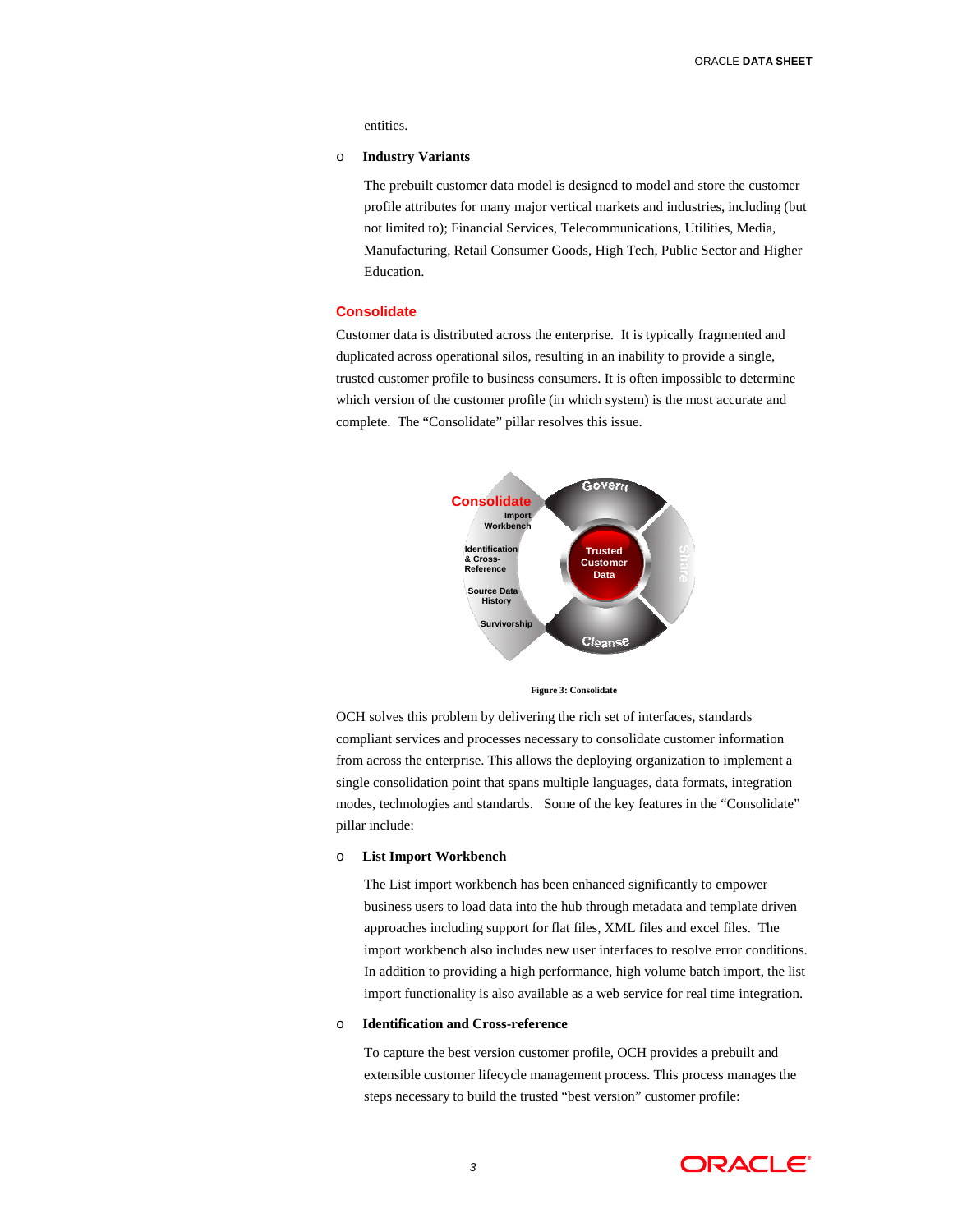entities.

#### o **Industry Variants**

The prebuilt customer data model is designed to model and store the customer profile attributes for many major vertical markets and industries, including (but not limited to); Financial Services, Telecommunications, Utilities, Media, Manufacturing, Retail Consumer Goods, High Tech, Public Sector and Higher Education.

# **Consolidate**

Customer data is distributed across the enterprise. It is typically fragmented and duplicated across operational silos, resulting in an inability to provide a single, trusted customer profile to business consumers. It is often impossible to determine which version of the customer profile (in which system) is the most accurate and complete. The "Consolidate" pillar resolves this issue.



**Figure 3: Consolidate**

OCH solves this problem by delivering the rich set of interfaces, standards compliant services and processes necessary to consolidate customer information from across the enterprise. This allows the deploying organization to implement a single consolidation point that spans multiple languages, data formats, integration modes, technologies and standards. Some of the key features in the "Consolidate" pillar include:

#### o **List Import Workbench**

The List import workbench has been enhanced significantly to empower business users to load data into the hub through metadata and template driven approaches including support for flat files, XML files and excel files. The import workbench also includes new user interfaces to resolve error conditions. In addition to providing a high performance, high volume batch import, the list import functionality is also available as a web service for real time integration.

# o **Identification and Cross-reference**

To capture the best version customer profile, OCH provides a prebuilt and extensible customer lifecycle management process. This process manages the steps necessary to build the trusted "best version" customer profile:

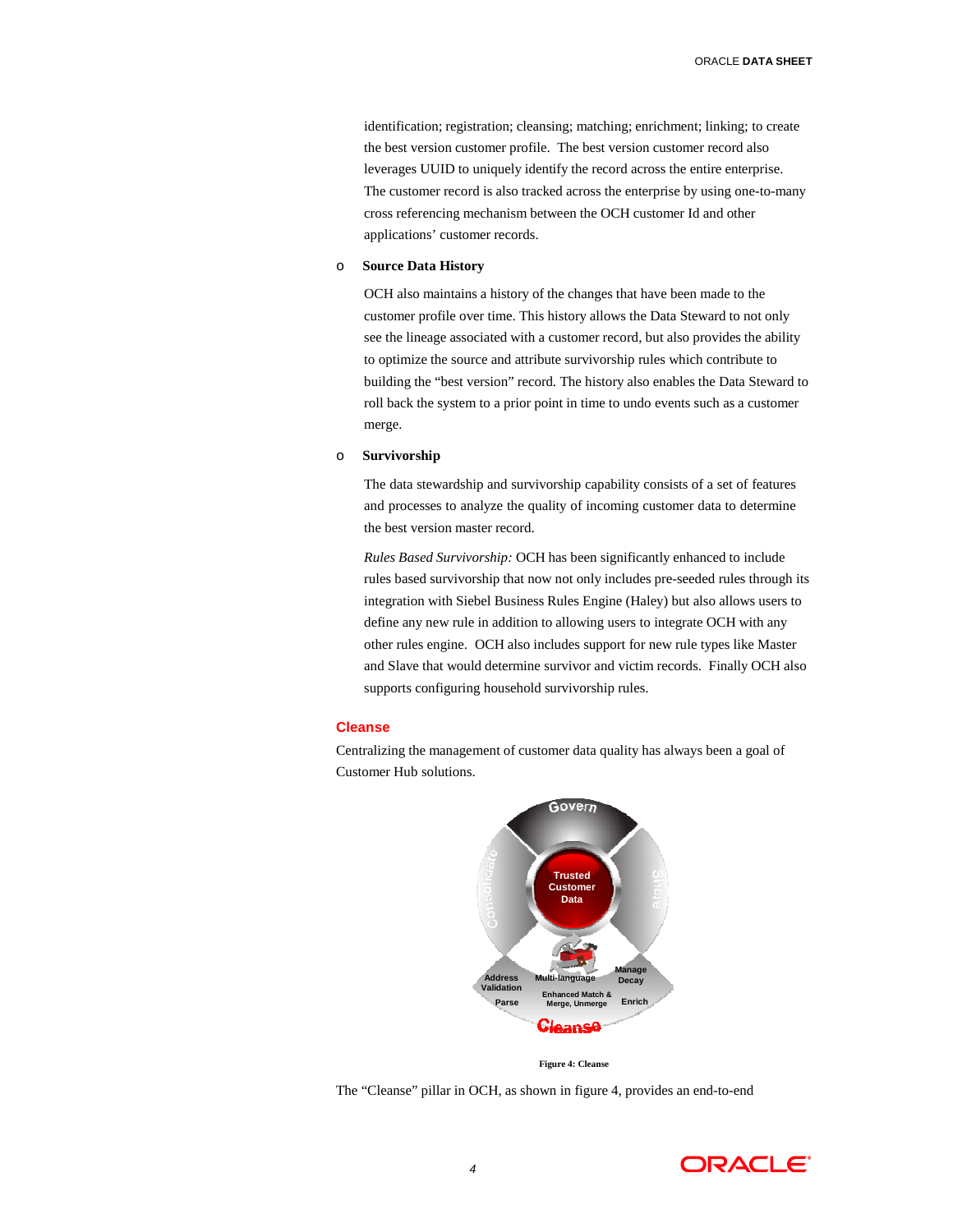identification; registration; cleansing; matching; enrichment; linking; to create the best version customer profile. The best version customer record also leverages UUID to uniquely identify the record across the entire enterprise. The customer record is also tracked across the enterprise by using one-to-many cross referencing mechanism between the OCH customer Id and other applications' customer records.

#### o **Source Data History**

OCH also maintains a history of the changes that have been made to the customer profile over time. This history allows the Data Steward to not only see the lineage associated with a customer record, but also provides the ability to optimize the source and attribute survivorship rules which contribute to building the "best version" record. The history also enables the Data Steward to roll back the system to a prior point in time to undo events such as a customer merge.

#### o **Survivorship**

The data stewardship and survivorship capability consists of a set of features and processes to analyze the quality of incoming customer data to determine the best version master record.

*Rules Based Survivorship:* OCH has been significantly enhanced to include rules based survivorship that now not only includes pre-seeded rules through its integration with Siebel Business Rules Engine (Haley) but also allows users to define any new rule in addition to allowing users to integrate OCH with any other rules engine. OCH also includes support for new rule types like Master and Slave that would determine survivor and victim records. Finally OCH also supports configuring household survivorship rules.

# **Cleanse**

Centralizing the management of customer data quality has always been a goal of Customer Hub solutions.



**Figure 4: Cleanse**

The "Cleanse" pillar in OCH, as shown in figure 4, provides an end-to-end

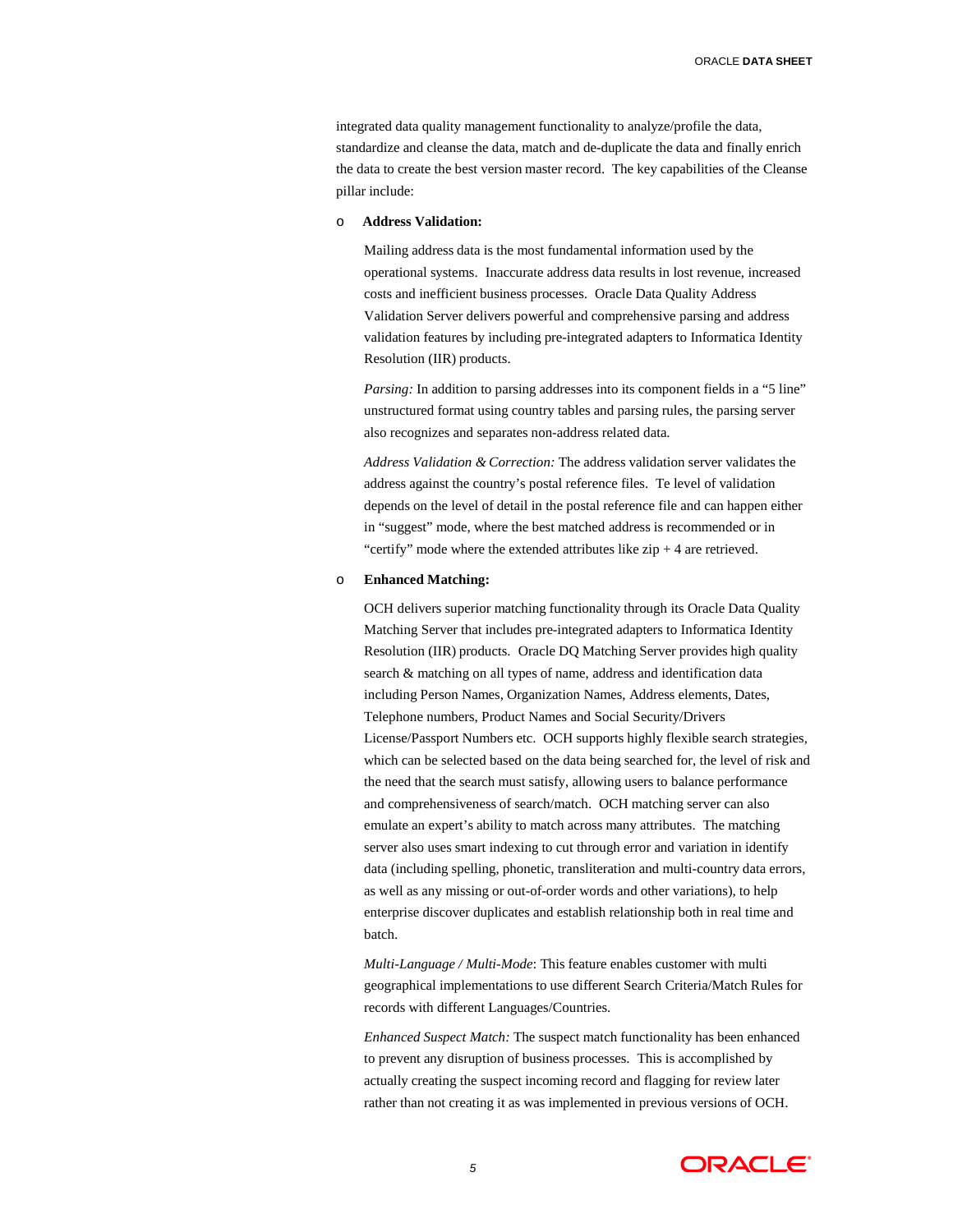ORACLE **DATA SHEET**

integrated data quality management functionality to analyze/profile the data, standardize and cleanse the data, match and de-duplicate the data and finally enrich the data to create the best version master record. The key capabilities of the Cleanse pillar include:

# o **Address Validation:**

Mailing address data is the most fundamental information used by the operational systems. Inaccurate address data results in lost revenue, increased costs and inefficient business processes. Oracle Data Quality Address Validation Server delivers powerful and comprehensive parsing and address validation features by including pre-integrated adapters to Informatica Identity Resolution (IIR) products.

*Parsing:* In addition to parsing addresses into its component fields in a "5 line" unstructured format using country tables and parsing rules, the parsing server also recognizes and separates non-address related data.

*Address Validation & Correction:* The address validation server validates the address against the country's postal reference files. Te level of validation depends on the level of detail in the postal reference file and can happen either in "suggest" mode, where the best matched address is recommended or in "certify" mode where the extended attributes like  $zip + 4$  are retrieved.

# o **Enhanced Matching:**

OCH delivers superior matching functionality through its Oracle Data Quality Matching Server that includes pre-integrated adapters to Informatica Identity Resolution (IIR) products. Oracle DQ Matching Server provides high quality search & matching on all types of name, address and identification data including Person Names, Organization Names, Address elements, Dates, Telephone numbers, Product Names and Social Security/Drivers License/Passport Numbers etc. OCH supports highly flexible search strategies, which can be selected based on the data being searched for, the level of risk and the need that the search must satisfy, allowing users to balance performance and comprehensiveness of search/match. OCH matching server can also emulate an expert's ability to match across many attributes. The matching server also uses smart indexing to cut through error and variation in identify data (including spelling, phonetic, transliteration and multi-country data errors, as well as any missing or out-of-order words and other variations), to help enterprise discover duplicates and establish relationship both in real time and batch.

*Multi-Language / Multi-Mode*: This feature enables customer with multi geographical implementations to use different Search Criteria/Match Rules for records with different Languages/Countries.

*Enhanced Suspect Match:* The suspect match functionality has been enhanced to prevent any disruption of business processes. This is accomplished by actually creating the suspect incoming record and flagging for review later rather than not creating it as was implemented in previous versions of OCH.

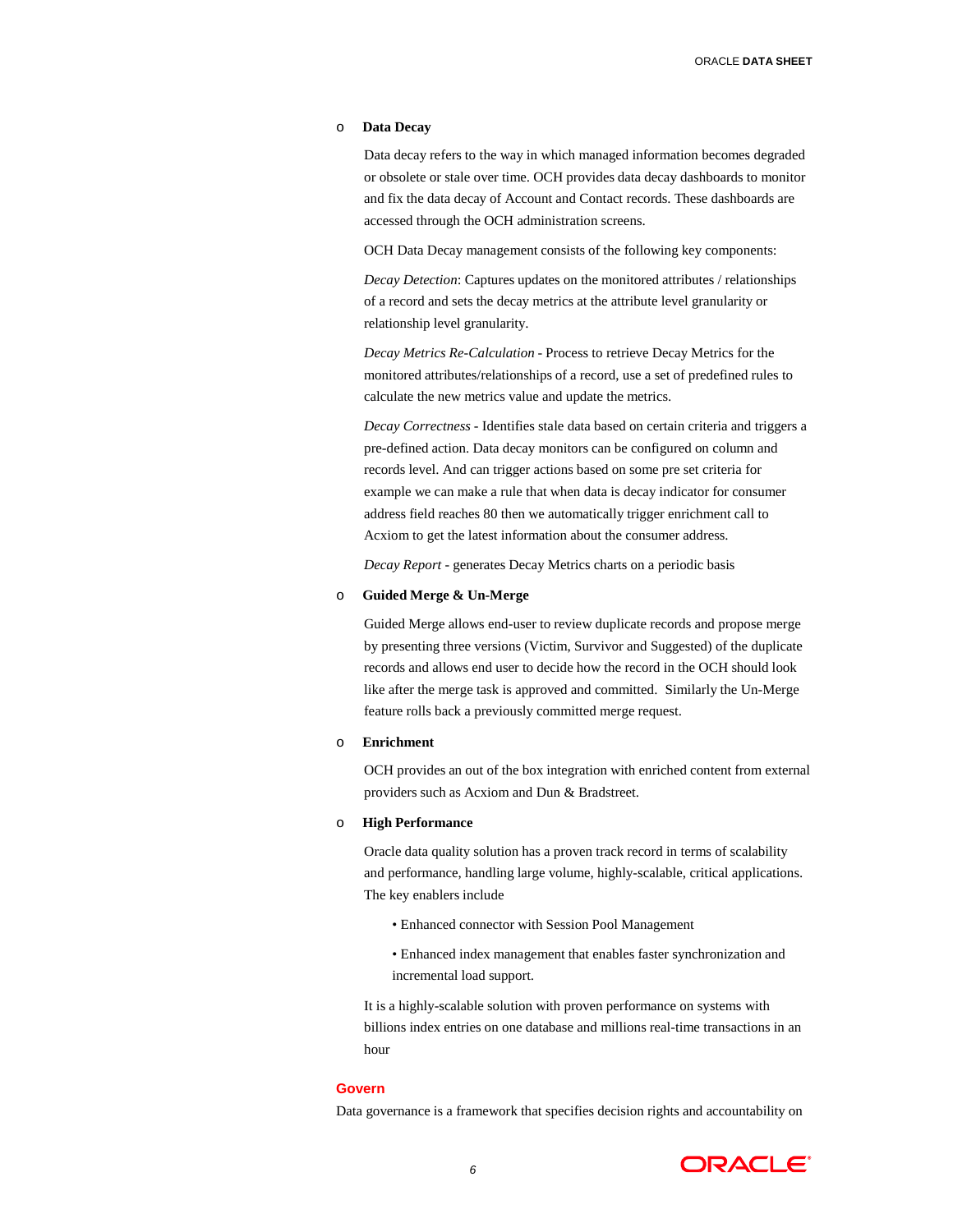#### o **Data Decay**

Data decay refers to the way in which managed information becomes degraded or obsolete or stale over time. OCH provides data decay dashboards to monitor and fix the data decay of Account and Contact records. These dashboards are accessed through the OCH administration screens.

OCH Data Decay management consists of the following key components:

*Decay Detection*: Captures updates on the monitored attributes / relationships of a record and sets the decay metrics at the attribute level granularity or relationship level granularity.

*Decay Metrics Re-Calculation* - Process to retrieve Decay Metrics for the monitored attributes/relationships of a record, use a set of predefined rules to calculate the new metrics value and update the metrics.

*Decay Correctness* - Identifies stale data based on certain criteria and triggers a pre-defined action. Data decay monitors can be configured on column and records level. And can trigger actions based on some pre set criteria for example we can make a rule that when data is decay indicator for consumer address field reaches 80 then we automatically trigger enrichment call to Acxiom to get the latest information about the consumer address.

*Decay Report* - generates Decay Metrics charts on a periodic basis

#### o **Guided Merge & Un-Merge**

Guided Merge allows end-user to review duplicate records and propose merge by presenting three versions (Victim, Survivor and Suggested) of the duplicate records and allows end user to decide how the record in the OCH should look like after the merge task is approved and committed. Similarly the Un-Merge feature rolls back a previously committed merge request.

#### o **Enrichment**

OCH provides an out of the box integration with enriched content from external providers such as Acxiom and Dun & Bradstreet.

#### o **High Performance**

Oracle data quality solution has a proven track record in terms of scalability and performance, handling large volume, highly-scalable, critical applications. The key enablers include

- Enhanced connector with Session Pool Management
- Enhanced index management that enables faster synchronization and incremental load support.

It is a highly-scalable solution with proven performance on systems with billions index entries on one database and millions real-time transactions in an hour

#### **Govern**

Data governance is a framework that specifies decision rights and accountability on

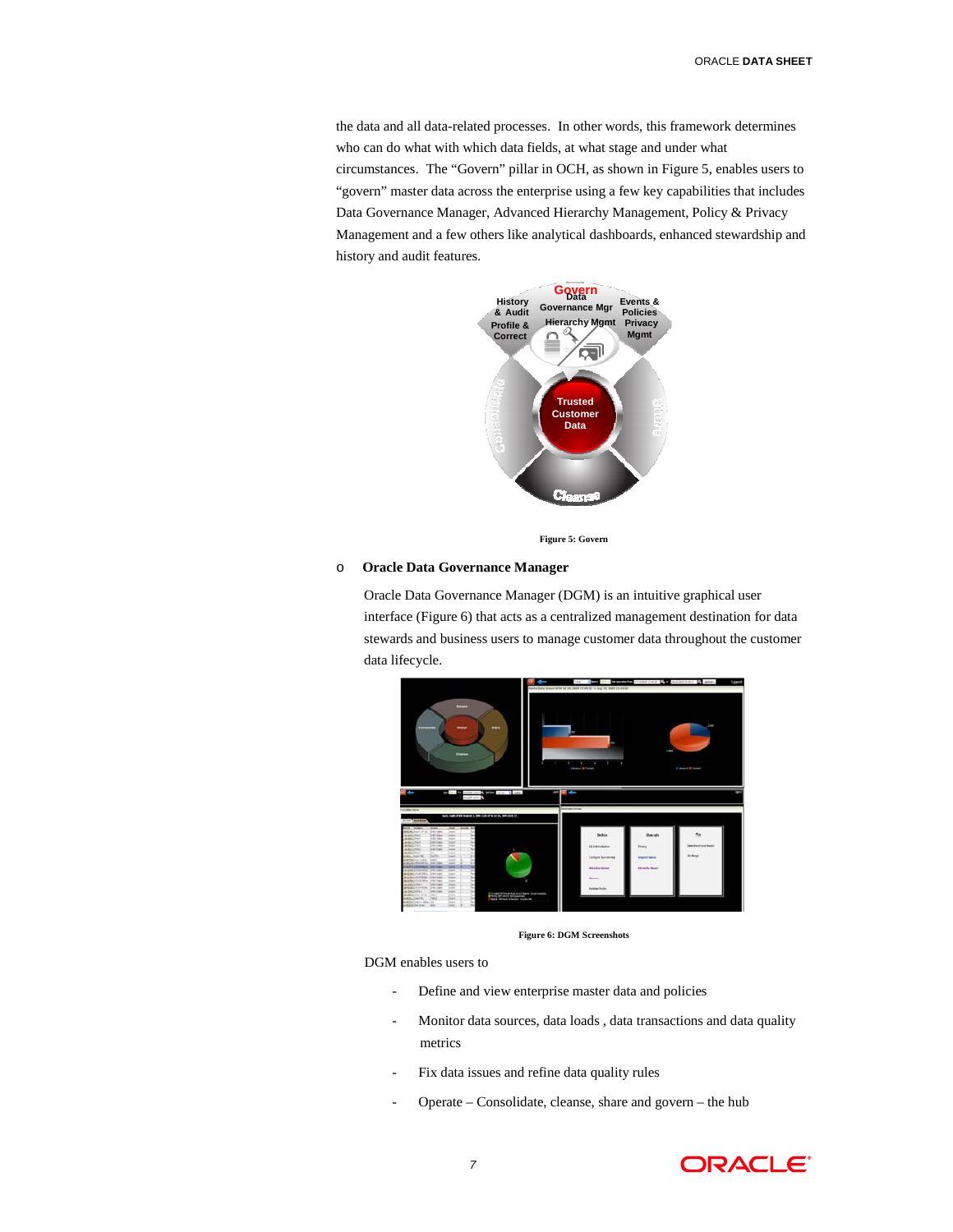the data and all data-related processes. In other words, this framework determines who can do what with which data fields, at what stage and under what circumstances. The "Govern" pillar in OCH, as shown in Figure 5, enables users to "govern" master data across the enterprise using a few key capabilities that includes Data Governance Manager, Advanced Hierarchy Management, Policy & Privacy Management and a few others like analytical dashboards, enhanced stewardship and history and audit features.



**Figure 5: Govern**

#### o **Oracle Data Governance Manager**

Oracle Data Governance Manager (DGM) is an intuitive graphical user interface (Figure 6) that acts as a centralized management destination for data stewards and business users to manage customer data throughout the customer data lifecycle.



**Figure 6: DGM Screenshots**

DGM enables users to

- Define and view enterprise master data and policies
- Monitor data sources, data loads , data transactions and data quality metrics
- Fix data issues and refine data quality rules
- Operate Consolidate, cleanse, share and govern the hub

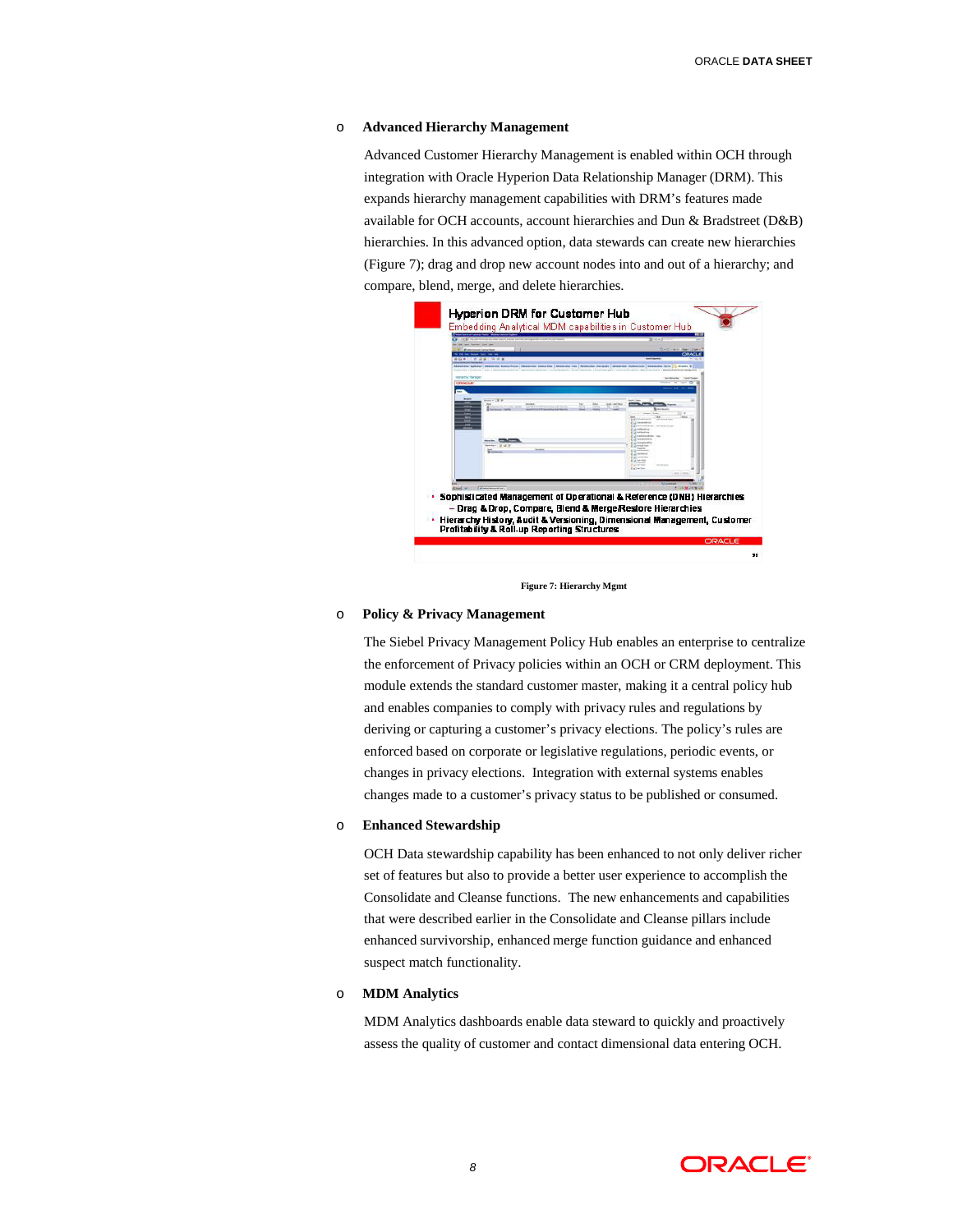#### o **Advanced Hierarchy Management**

Advanced Customer Hierarchy Management is enabled within OCH through integration with Oracle Hyperion Data Relationship Manager (DRM). This expands hierarchy management capabilities with DRM's features made available for OCH accounts, account hierarchies and Dun & Bradstreet (D&B) hierarchies. In this advanced option, data stewards can create new hierarchies (Figure 7); drag and drop new account nodes into and out of a hierarchy; and compare, blend, merge, and delete hierarchies.



**Figure 7: Hierarchy Mgmt**

# o **Policy & Privacy Management**

The Siebel Privacy Management Policy Hub enables an enterprise to centralize the enforcement of Privacy policies within an OCH or CRM deployment. This module extends the standard customer master, making it a central policy hub and enables companies to comply with privacy rules and regulations by deriving or capturing a customer's privacy elections. The policy's rules are enforced based on corporate or legislative regulations, periodic events, or changes in privacy elections. Integration with external systems enables changes made to a customer's privacy status to be published or consumed.

#### o **Enhanced Stewardship**

OCH Data stewardship capability has been enhanced to not only deliver richer set of features but also to provide a better user experience to accomplish the Consolidate and Cleanse functions. The new enhancements and capabilities that were described earlier in the Consolidate and Cleanse pillars include enhanced survivorship, enhanced merge function guidance and enhanced suspect match functionality.

#### o **MDM Analytics**

MDM Analytics dashboards enable data steward to quickly and proactively assess the quality of customer and contact dimensional data entering OCH.

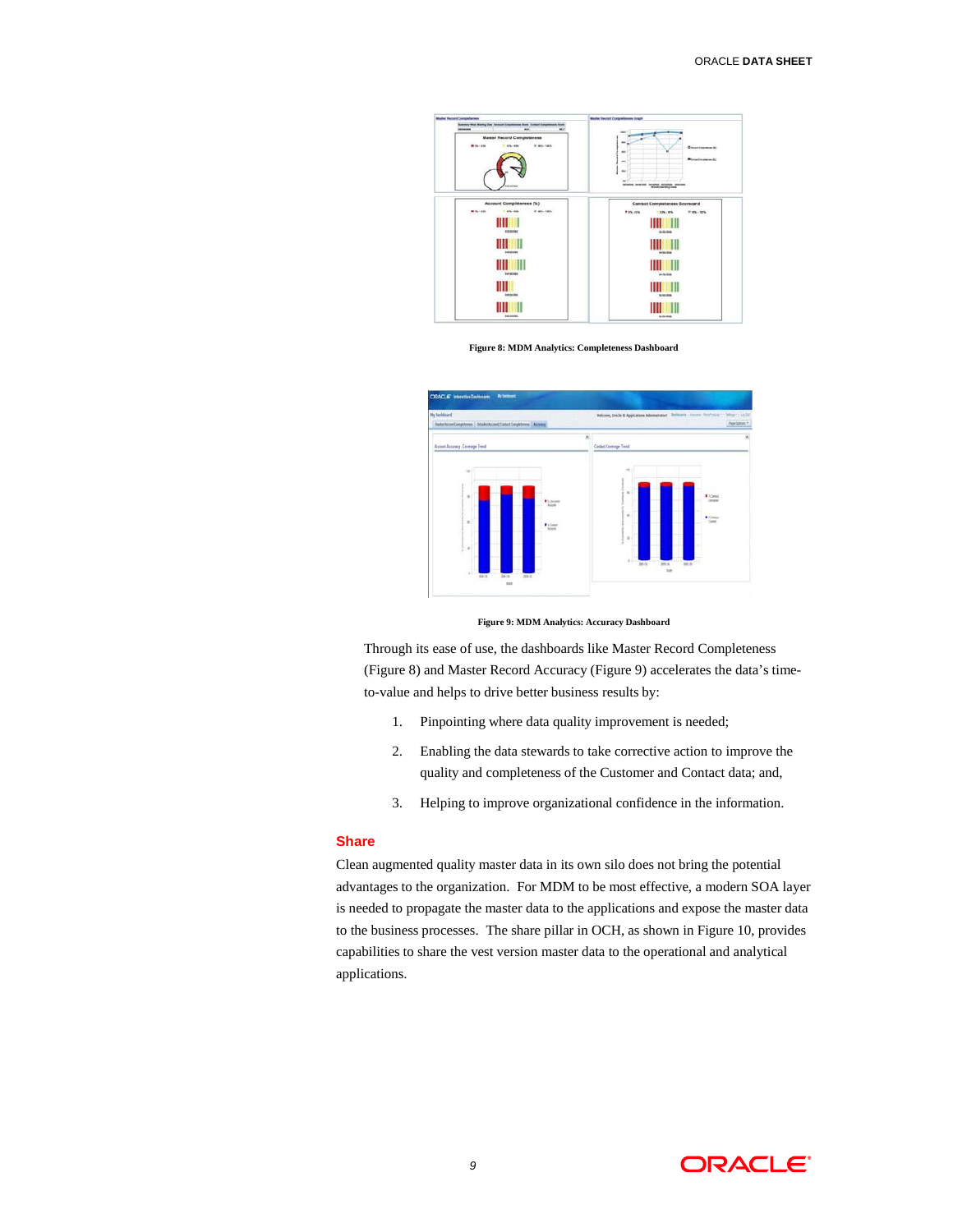

**Figure 8: MDM Analytics: Completeness Dashboard**



**Figure 9: MDM Analytics: Accuracy Dashboard**

Through its ease of use, the dashboards like Master Record Completeness (Figure 8) and Master Record Accuracy (Figure 9) accelerates the data's timeto-value and helps to drive better business results by:

- 1. Pinpointing where data quality improvement is needed;
- 2. Enabling the data stewards to take corrective action to improve the quality and completeness of the Customer and Contact data; and,
- 3. Helping to improve organizational confidence in the information.

#### **Share**

Clean augmented quality master data in its own silo does not bring the potential advantages to the organization. For MDM to be most effective, a modern SOA layer is needed to propagate the master data to the applications and expose the master data to the business processes. The share pillar in OCH, as shown in Figure 10, provides capabilities to share the vest version master data to the operational and analytical applications.

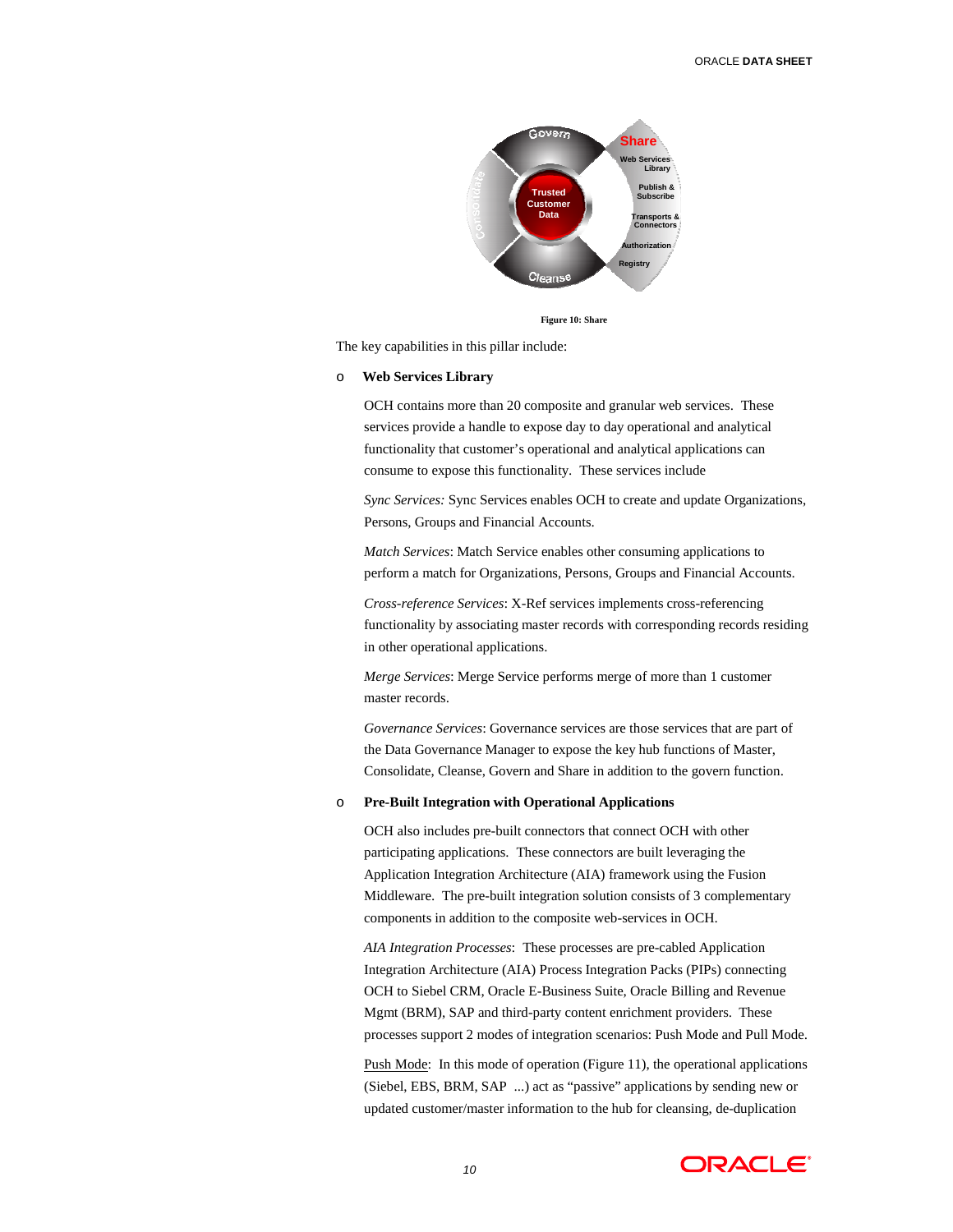

**Figure 10: Share**

The key capabilities in this pillar include:

#### o **Web Services Library**

OCH contains more than 20 composite and granular web services. These services provide a handle to expose day to day operational and analytical functionality that customer's operational and analytical applications can consume to expose this functionality. These services include

*Sync Services:* Sync Services enables OCH to create and update Organizations, Persons, Groups and Financial Accounts.

*Match Services*: Match Service enables other consuming applications to perform a match for Organizations, Persons, Groups and Financial Accounts.

*Cross-reference Services*: X-Ref services implements cross-referencing functionality by associating master records with corresponding records residing in other operational applications.

*Merge Services*: Merge Service performs merge of more than 1 customer master records.

*Governance Services*: Governance services are those services that are part of the Data Governance Manager to expose the key hub functions of Master, Consolidate, Cleanse, Govern and Share in addition to the govern function.

# o **Pre-Built Integration with Operational Applications**

OCH also includes pre-built connectors that connect OCH with other participating applications. These connectors are built leveraging the Application Integration Architecture (AIA) framework using the Fusion Middleware. The pre-built integration solution consists of 3 complementary components in addition to the composite web-services in OCH.

*AIA Integration Processes*: These processes are pre-cabled Application Integration Architecture (AIA) Process Integration Packs (PIPs) connecting OCH to Siebel CRM, Oracle E-Business Suite, Oracle Billing and Revenue Mgmt (BRM), SAP and third-party content enrichment providers. These processes support 2 modes of integration scenarios: Push Mode and Pull Mode.

Push Mode: In this mode of operation (Figure 11), the operational applications (Siebel, EBS, BRM, SAP ...) act as "passive" applications by sending new or updated customer/master information to the hub for cleansing, de-duplication

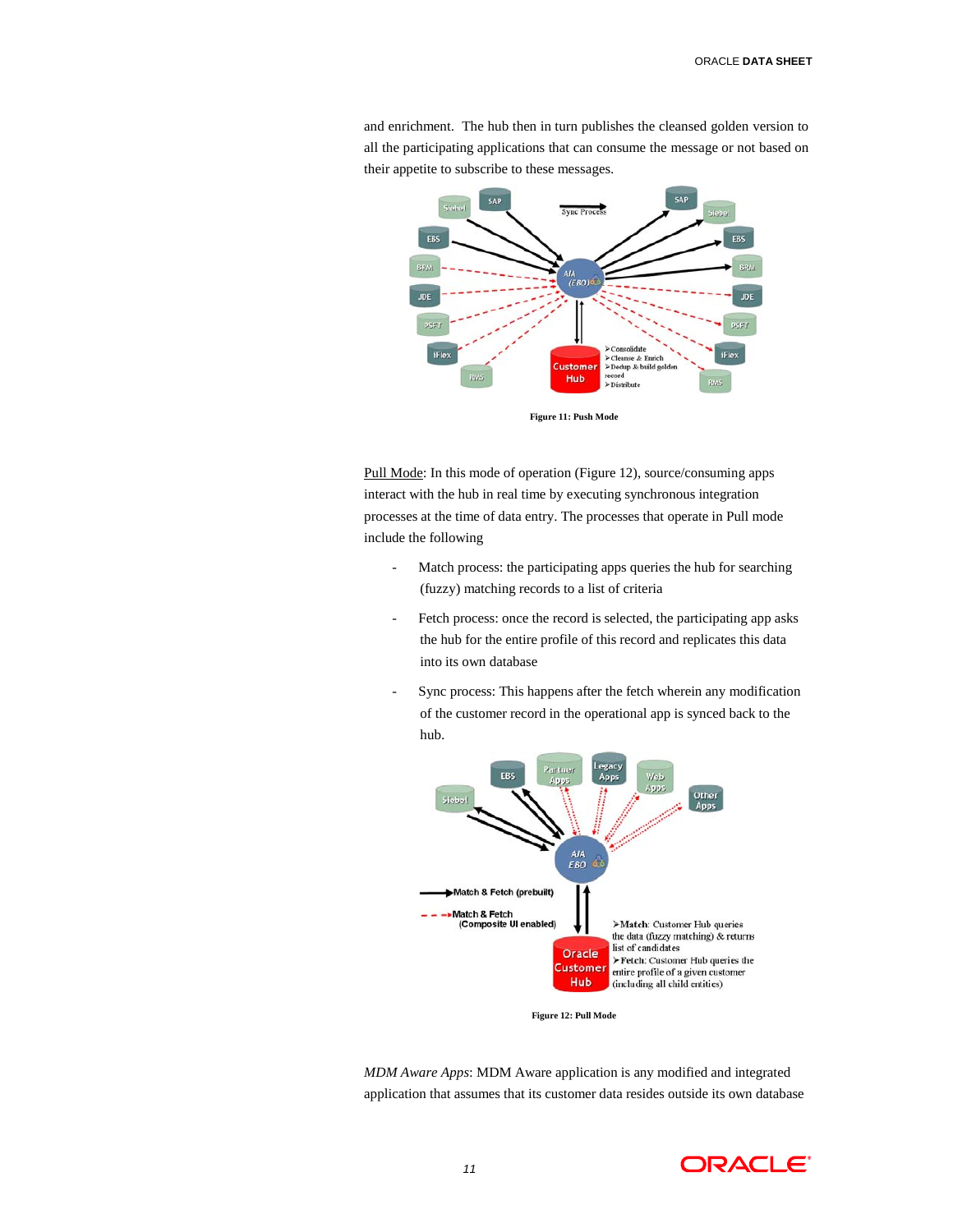

and enrichment. The hub then in turn publishes the cleansed golden version to all the participating applications that can consume the message or not based on their appetite to subscribe to these messages.

**Figure 11: Push Mode**

Pull Mode: In this mode of operation (Figure 12), source/consuming apps interact with the hub in real time by executing synchronous integration processes at the time of data entry. The processes that operate in Pull mode include the following

- Match process: the participating apps queries the hub for searching (fuzzy) matching records to a list of criteria
- Fetch process: once the record is selected, the participating app asks the hub for the entire profile of this record and replicates this data into its own database
- Sync process: This happens after the fetch wherein any modification of the customer record in the operational app is synced back to the hub.



**Figure 12: Pull Mode**

*MDM Aware Apps*: MDM Aware application is any modified and integrated application that assumes that its customer data resides outside its own database

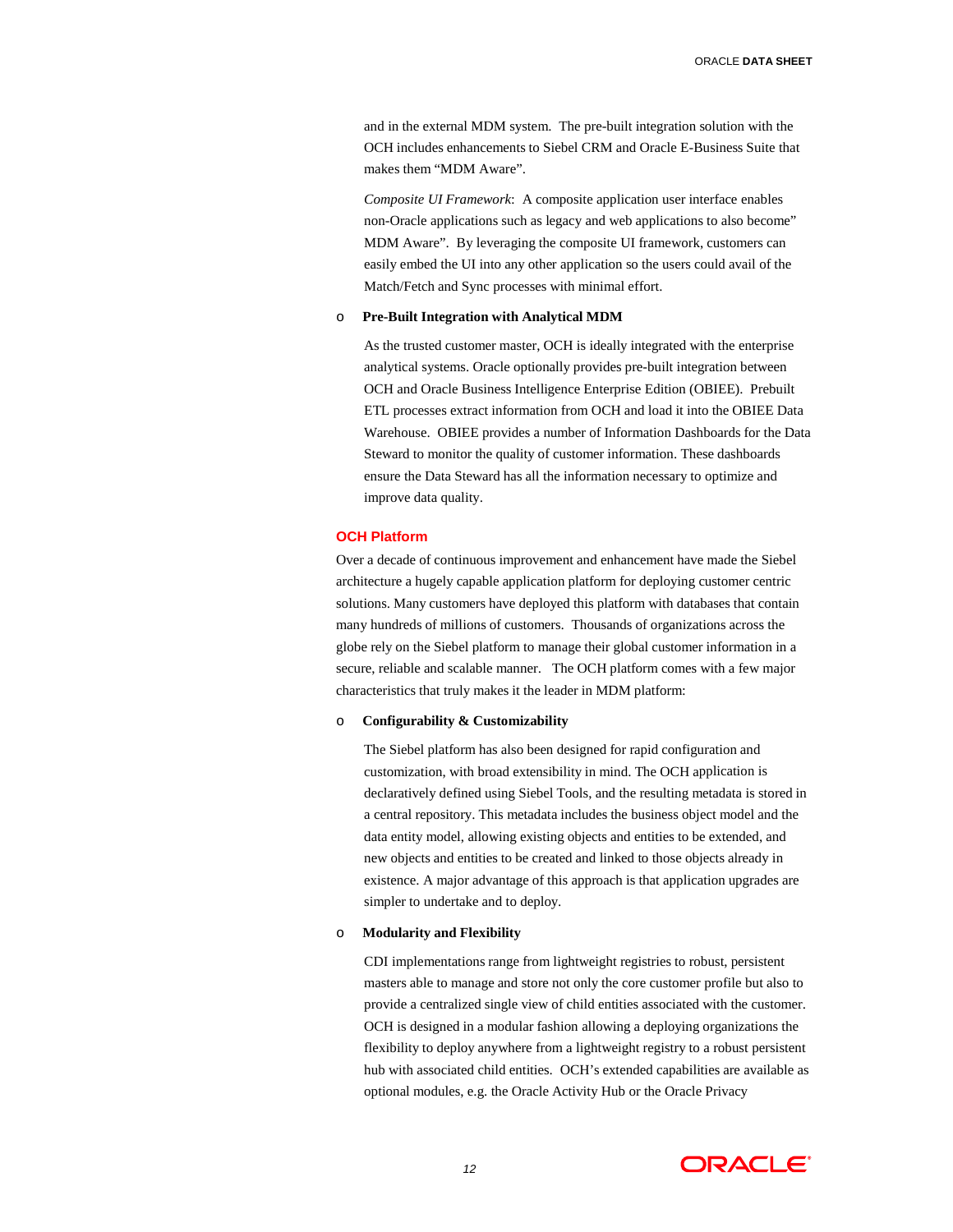ORACLE **DATA SHEET**

and in the external MDM system. The pre-built integration solution with the OCH includes enhancements to Siebel CRM and Oracle E-Business Suite that makes them "MDM Aware".

*Composite UI Framework*: A composite application user interface enables non-Oracle applications such as legacy and web applications to also become" MDM Aware". By leveraging the composite UI framework, customers can easily embed the UI into any other application so the users could avail of the Match/Fetch and Sync processes with minimal effort.

# o **Pre-Built Integration with Analytical MDM**

As the trusted customer master, OCH is ideally integrated with the enterprise analytical systems. Oracle optionally provides pre-built integration between OCH and Oracle Business Intelligence Enterprise Edition (OBIEE). Prebuilt ETL processes extract information from OCH and load it into the OBIEE Data Warehouse. OBIEE provides a number of Information Dashboards for the Data Steward to monitor the quality of customer information. These dashboards ensure the Data Steward has all the information necessary to optimize and improve data quality.

#### **OCH Platform**

Over a decade of continuous improvement and enhancement have made the Siebel architecture a hugely capable application platform for deploying customer centric solutions. Many customers have deployed this platform with databases that contain many hundreds of millions of customers. Thousands of organizations across the globe rely on the Siebel platform to manage their global customer information in a secure, reliable and scalable manner. The OCH platform comes with a few major characteristics that truly makes it the leader in MDM platform:

#### o **Configurability & Customizability**

The Siebel platform has also been designed for rapid configuration and customization, with broad extensibility in mind. The OCH application is declaratively defined using Siebel Tools, and the resulting metadata is stored in a central repository. This metadata includes the business object model and the data entity model, allowing existing objects and entities to be extended, and new objects and entities to be created and linked to those objects already in existence. A major advantage of this approach is that application upgrades are simpler to undertake and to deploy.

# o **Modularity and Flexibility**

CDI implementations range from lightweight registries to robust, persistent masters able to manage and store not only the core customer profile but also to provide a centralized single view of child entities associated with the customer. OCH is designed in a modular fashion allowing a deploying organizations the flexibility to deploy anywhere from a lightweight registry to a robust persistent hub with associated child entities. OCH's extended capabilities are available as optional modules, e.g. the Oracle Activity Hub or the Oracle Privacy